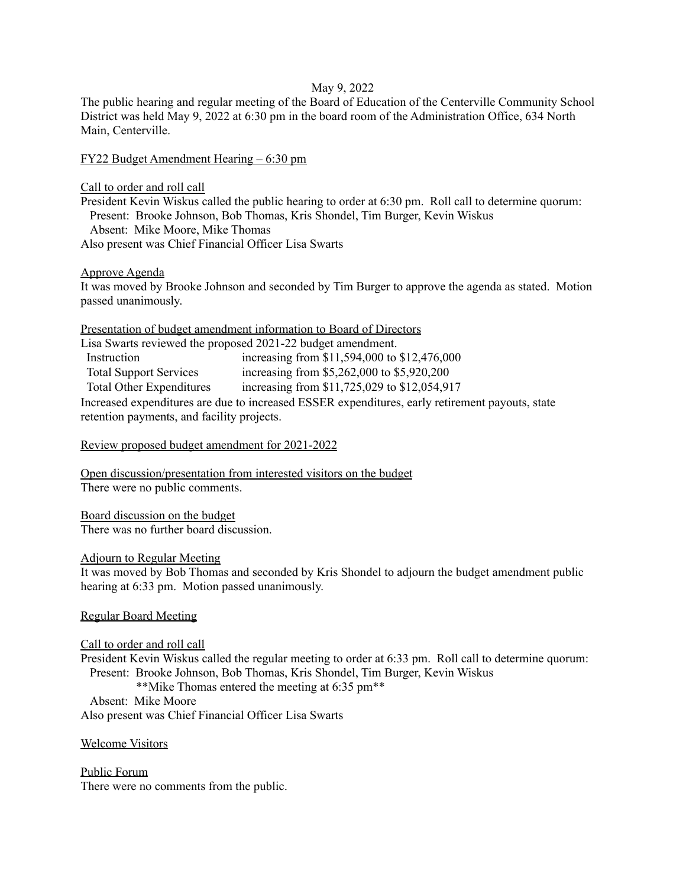## May 9, 2022

The public hearing and regular meeting of the Board of Education of the Centerville Community School District was held May 9, 2022 at 6:30 pm in the board room of the Administration Office, 634 North Main, Centerville.

### FY22 Budget Amendment Hearing – 6:30 pm

Call to order and roll call

President Kevin Wiskus called the public hearing to order at 6:30 pm. Roll call to determine quorum: Present: Brooke Johnson, Bob Thomas, Kris Shondel, Tim Burger, Kevin Wiskus Absent: Mike Moore, Mike Thomas

Also present was Chief Financial Officer Lisa Swarts

Approve Agenda

It was moved by Brooke Johnson and seconded by Tim Burger to approve the agenda as stated. Motion passed unanimously.

| Presentation of budget amendment information to Board of Directors |
|--------------------------------------------------------------------|
|--------------------------------------------------------------------|

| Lisa Swarts reviewed the proposed 2021-22 budget amendment.                                     |                                              |
|-------------------------------------------------------------------------------------------------|----------------------------------------------|
| Instruction                                                                                     | increasing from \$11,594,000 to \$12,476,000 |
| <b>Total Support Services</b>                                                                   | increasing from \$5,262,000 to \$5,920,200   |
| <b>Total Other Expenditures</b>                                                                 | increasing from \$11,725,029 to \$12,054,917 |
| Increased expenditures are due to increased ESSER expenditures, early retirement payouts, state |                                              |
| retention payments, and facility projects.                                                      |                                              |

## Review proposed budget amendment for 2021-2022

Open discussion/presentation from interested visitors on the budget There were no public comments.

Board discussion on the budget There was no further board discussion.

#### Adjourn to Regular Meeting

It was moved by Bob Thomas and seconded by Kris Shondel to adjourn the budget amendment public hearing at 6:33 pm. Motion passed unanimously.

# Regular Board Meeting

Call to order and roll call President Kevin Wiskus called the regular meeting to order at 6:33 pm. Roll call to determine quorum: Present: Brooke Johnson, Bob Thomas, Kris Shondel, Tim Burger, Kevin Wiskus \*\*Mike Thomas entered the meeting at 6:35 pm\*\* Absent: Mike Moore Also present was Chief Financial Officer Lisa Swarts

Welcome Visitors

Public Forum There were no comments from the public.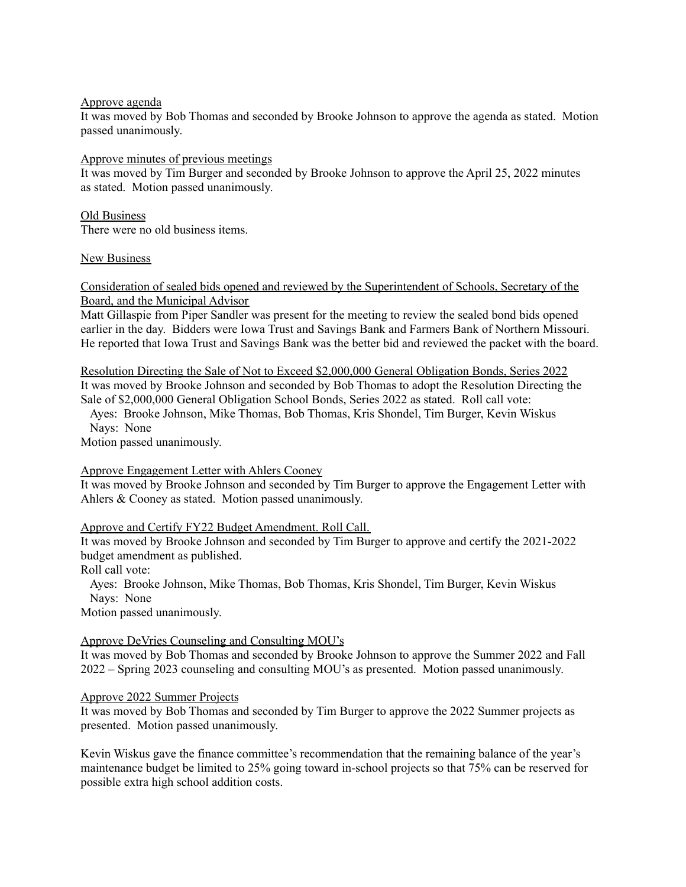### Approve agenda

It was moved by Bob Thomas and seconded by Brooke Johnson to approve the agenda as stated. Motion passed unanimously.

## Approve minutes of previous meetings

It was moved by Tim Burger and seconded by Brooke Johnson to approve the April 25, 2022 minutes as stated. Motion passed unanimously.

## Old Business

There were no old business items.

## New Business

# Consideration of sealed bids opened and reviewed by the Superintendent of Schools, Secretary of the Board, and the Municipal Advisor

Matt Gillaspie from Piper Sandler was present for the meeting to review the sealed bond bids opened earlier in the day. Bidders were Iowa Trust and Savings Bank and Farmers Bank of Northern Missouri. He reported that Iowa Trust and Savings Bank was the better bid and reviewed the packet with the board.

Resolution Directing the Sale of Not to Exceed \$2,000,000 General Obligation Bonds, Series 2022 It was moved by Brooke Johnson and seconded by Bob Thomas to adopt the Resolution Directing the Sale of \$2,000,000 General Obligation School Bonds, Series 2022 as stated. Roll call vote:

Ayes: Brooke Johnson, Mike Thomas, Bob Thomas, Kris Shondel, Tim Burger, Kevin Wiskus Nays: None

Motion passed unanimously.

# Approve Engagement Letter with Ahlers Cooney

It was moved by Brooke Johnson and seconded by Tim Burger to approve the Engagement Letter with Ahlers & Cooney as stated. Motion passed unanimously.

# Approve and Certify FY22 Budget Amendment. Roll Call.

It was moved by Brooke Johnson and seconded by Tim Burger to approve and certify the 2021-2022 budget amendment as published.

Roll call vote:

Ayes: Brooke Johnson, Mike Thomas, Bob Thomas, Kris Shondel, Tim Burger, Kevin Wiskus Nays: None

Motion passed unanimously.

# Approve DeVries Counseling and Consulting MOU's

It was moved by Bob Thomas and seconded by Brooke Johnson to approve the Summer 2022 and Fall 2022 – Spring 2023 counseling and consulting MOU's as presented. Motion passed unanimously.

#### Approve 2022 Summer Projects

It was moved by Bob Thomas and seconded by Tim Burger to approve the 2022 Summer projects as presented. Motion passed unanimously.

Kevin Wiskus gave the finance committee's recommendation that the remaining balance of the year's maintenance budget be limited to 25% going toward in-school projects so that 75% can be reserved for possible extra high school addition costs.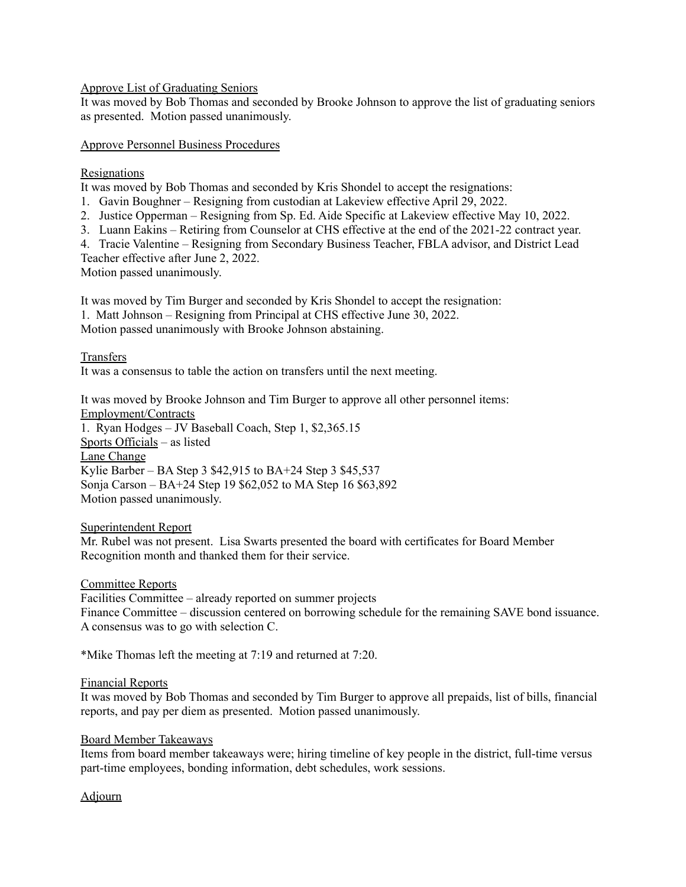Approve List of Graduating Seniors

It was moved by Bob Thomas and seconded by Brooke Johnson to approve the list of graduating seniors as presented. Motion passed unanimously.

Approve Personnel Business Procedures

## Resignations

It was moved by Bob Thomas and seconded by Kris Shondel to accept the resignations:

1. Gavin Boughner – Resigning from custodian at Lakeview effective April 29, 2022.

- 2. Justice Opperman Resigning from Sp. Ed. Aide Specific at Lakeview effective May 10, 2022.
- 3. Luann Eakins Retiring from Counselor at CHS effective at the end of the 2021-22 contract year.

4. Tracie Valentine – Resigning from Secondary Business Teacher, FBLA advisor, and District Lead

Teacher effective after June 2, 2022.

Motion passed unanimously.

It was moved by Tim Burger and seconded by Kris Shondel to accept the resignation:

1. Matt Johnson – Resigning from Principal at CHS effective June 30, 2022.

Motion passed unanimously with Brooke Johnson abstaining.

## Transfers

It was a consensus to table the action on transfers until the next meeting.

It was moved by Brooke Johnson and Tim Burger to approve all other personnel items: Employment/Contracts

1. Ryan Hodges – JV Baseball Coach, Step 1, \$2,365.15 Sports Officials – as listed Lane Change Kylie Barber – BA Step 3 \$42,915 to BA+24 Step 3 \$45,537 Sonja Carson – BA+24 Step 19 \$62,052 to MA Step 16 \$63,892 Motion passed unanimously.

#### Superintendent Report

Mr. Rubel was not present. Lisa Swarts presented the board with certificates for Board Member Recognition month and thanked them for their service.

#### Committee Reports

Facilities Committee – already reported on summer projects Finance Committee – discussion centered on borrowing schedule for the remaining SAVE bond issuance. A consensus was to go with selection C.

\*Mike Thomas left the meeting at 7:19 and returned at 7:20.

#### Financial Reports

It was moved by Bob Thomas and seconded by Tim Burger to approve all prepaids, list of bills, financial reports, and pay per diem as presented. Motion passed unanimously.

#### Board Member Takeaways

Items from board member takeaways were; hiring timeline of key people in the district, full-time versus part-time employees, bonding information, debt schedules, work sessions.

# Adjourn